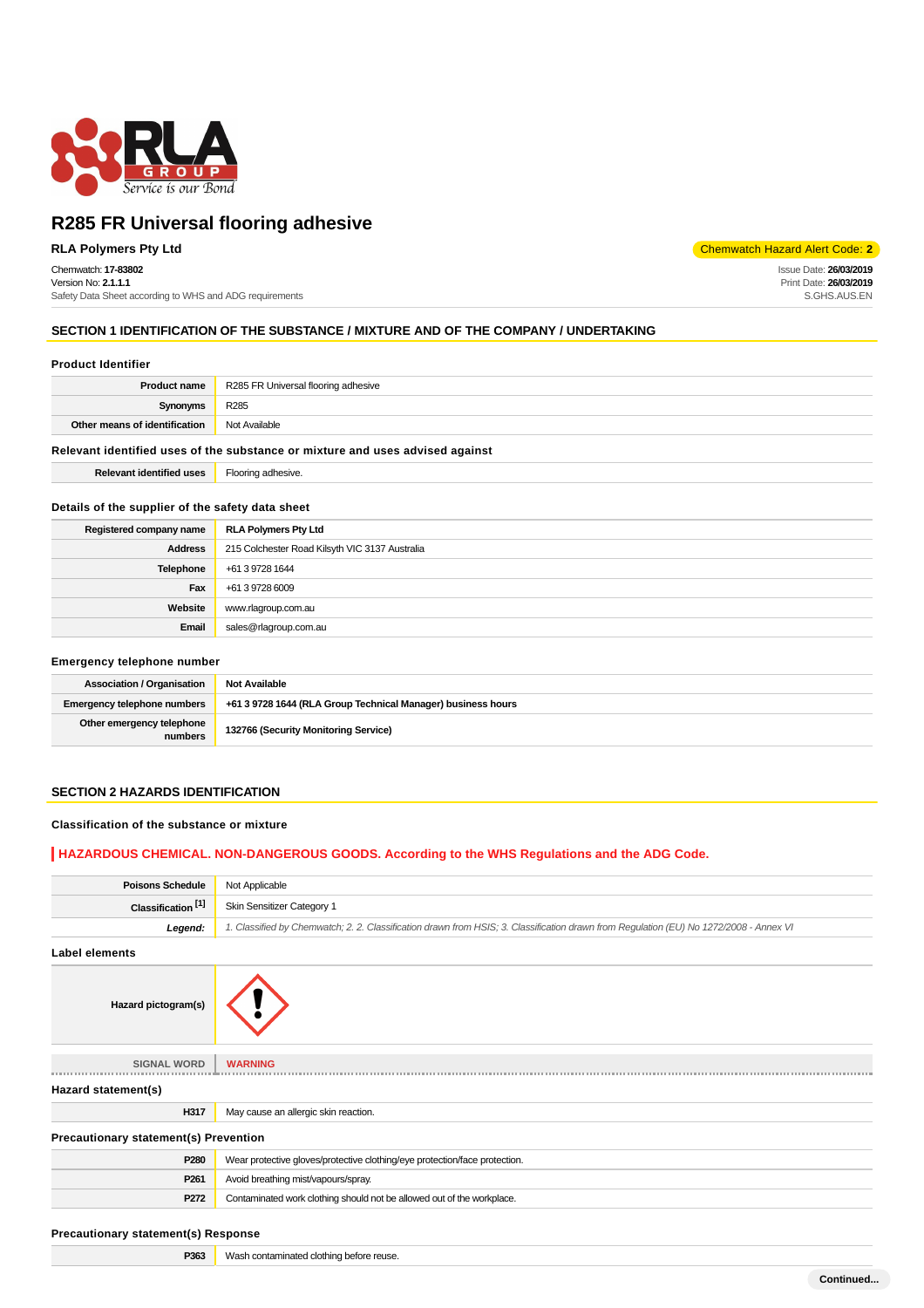

### Chemwatch: **17-83802**

Version No: **2.1.1.1** Safety Data Sheet according to WHS and ADG requirements

**RLA Polymers Pty Ltd** Chemwatch Hazard Alert Code: **2** 

Issue Date: **26/03/2019** Print Date: **26/03/2019** S.GHS.AUS.EN

### **SECTION 1 IDENTIFICATION OF THE SUBSTANCE / MIXTURE AND OF THE COMPANY / UNDERTAKING**

#### **Product Identifier**

| <b>Product name</b>                                                           | R285 FR Universal flooring adhesive |  |  |  |
|-------------------------------------------------------------------------------|-------------------------------------|--|--|--|
| Synonyms                                                                      | R <sub>285</sub>                    |  |  |  |
| Other means of identification                                                 | Not Available                       |  |  |  |
| Relevant identified uses of the substance or mixture and uses advised against |                                     |  |  |  |
| <b>Relevant identified uses</b>                                               | Flooring adhesive.                  |  |  |  |

#### **Details of the supplier of the safety data sheet**

| Registered company name | RLA Polymers Pty Ltd                           |
|-------------------------|------------------------------------------------|
| <b>Address</b>          | 215 Colchester Road Kilsyth VIC 3137 Australia |
| Telephone               | +61 3 9728 1644                                |
| Fax                     | +61 3 9728 6009                                |
| Website                 | www.rlagroup.com.au                            |
| Email                   | sales@rlagroup.com.au                          |

#### **Emergency telephone number**

| <b>Association / Organisation</b>    | <b>Not Available</b>                                         |
|--------------------------------------|--------------------------------------------------------------|
| Emergency telephone numbers          | +61 3 9728 1644 (RLA Group Technical Manager) business hours |
| Other emergency telephone<br>numbers | 132766 (Security Monitoring Service)                         |

### **SECTION 2 HAZARDS IDENTIFICATION**

### **Classification of the substance or mixture**

### **HAZARDOUS CHEMICAL. NON-DANGEROUS GOODS. According to the WHS Regulations and the ADG Code.**

| <b>Poisons Schedule</b>               | Not Applicable                                                                                                                         |  |  |  |  |  |
|---------------------------------------|----------------------------------------------------------------------------------------------------------------------------------------|--|--|--|--|--|
| Classification <sup>[1]</sup>         | Skin Sensitizer Category 1                                                                                                             |  |  |  |  |  |
| Legend:                               | 1. Classified by Chemwatch; 2. 2. Classification drawn from HSIS; 3. Classification drawn from Regulation (EU) No 1272/2008 - Annex VI |  |  |  |  |  |
| <b>Label elements</b>                 |                                                                                                                                        |  |  |  |  |  |
| Hazard pictogram(s)                   |                                                                                                                                        |  |  |  |  |  |
| <b>SIGNAL WORD</b>                    | <b>WARNING</b>                                                                                                                         |  |  |  |  |  |
| Hazard statement(s)                   |                                                                                                                                        |  |  |  |  |  |
| H317                                  | May cause an allergic skin reaction.                                                                                                   |  |  |  |  |  |
| Precautionary statement(s) Prevention |                                                                                                                                        |  |  |  |  |  |
| P280                                  | Wear protective gloves/protective clothing/eye protection/face protection.                                                             |  |  |  |  |  |
| P <sub>261</sub>                      | Avoid breathing mist/vapours/spray.                                                                                                    |  |  |  |  |  |
| P272                                  | Contaminated work clothing should not be allowed out of the workplace.                                                                 |  |  |  |  |  |
|                                       |                                                                                                                                        |  |  |  |  |  |

#### **Precautionary statement(s) Response**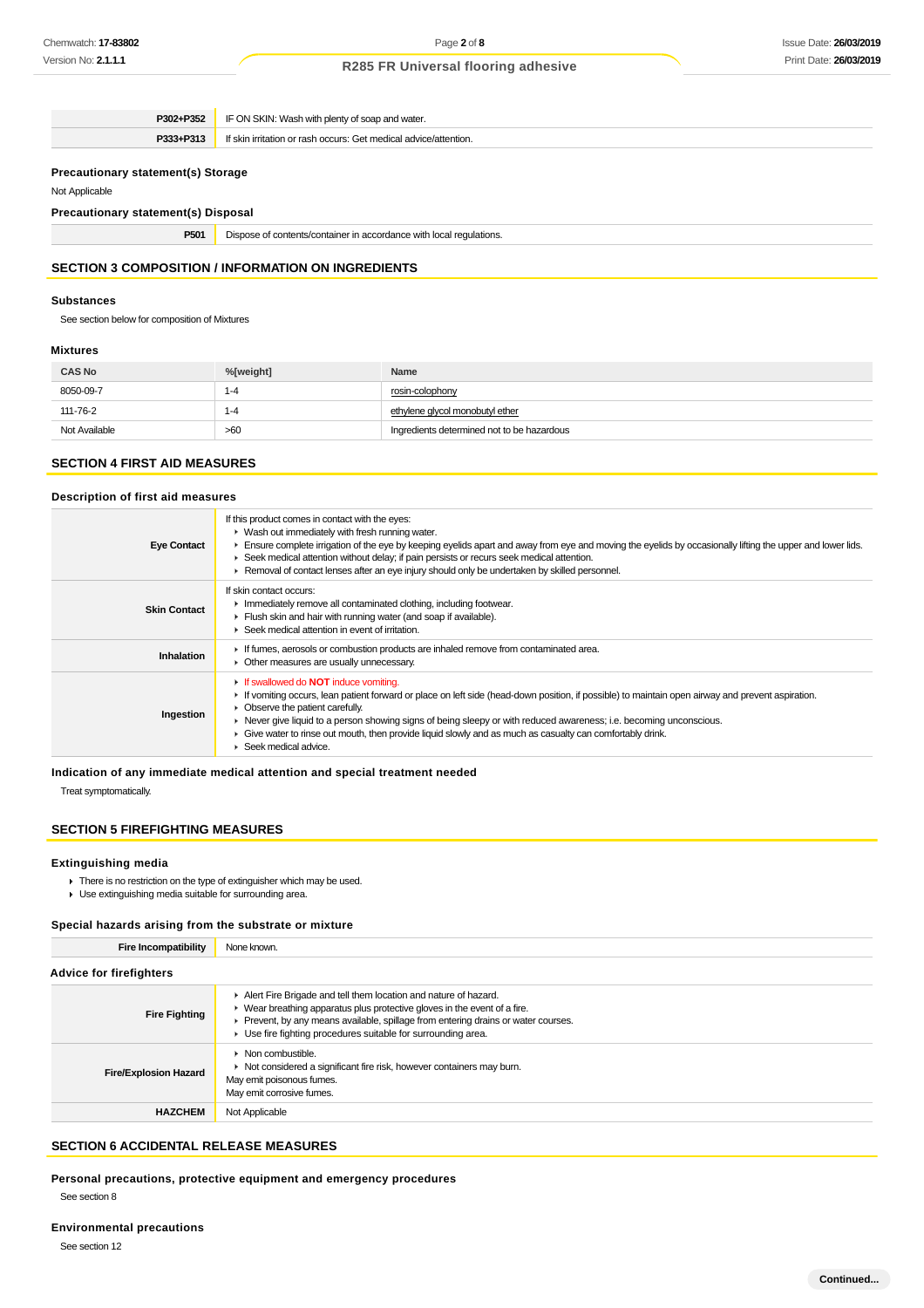|                                                                               | <b>P302+P352</b> IF ON SKIN: Wash with plenty of soap and water. |  |  |  |  |
|-------------------------------------------------------------------------------|------------------------------------------------------------------|--|--|--|--|
| If skin irritation or rash occurs: Get medical advice/attention.<br>P333+P313 |                                                                  |  |  |  |  |
| <b>Precautionary statement(s) Storage</b>                                     |                                                                  |  |  |  |  |

### Not Applicable

**Precautionary statement(s) Disposal**

**P501** Dispose of contents/container in accordance with local regulations.

## **SECTION 3 COMPOSITION / INFORMATION ON INGREDIENTS**

### **Substances**

See section below for composition of Mixtures

### **Mixtures**

| <b>CAS No</b> | %[weight] | Name                                       |
|---------------|-----------|--------------------------------------------|
| 8050-09-7     | 1-4       | rosin-colophony                            |
| 111-76-2      | 1-4       | ethylene glycol monobutyl ether            |
| Not Available | >60       | Ingredients determined not to be hazardous |

### **SECTION 4 FIRST AID MEASURES**

#### **Description of first aid measures**

| <b>Eye Contact</b>  | If this product comes in contact with the eyes:<br>• Wash out immediately with fresh running water.<br>Ensure complete irrigation of the eye by keeping eyelids apart and away from eye and moving the eyelids by occasionally lifting the upper and lower lids.<br>► Seek medical attention without delay; if pain persists or recurs seek medical attention.<br>► Removal of contact lenses after an eye injury should only be undertaken by skilled personnel.                                                    |
|---------------------|----------------------------------------------------------------------------------------------------------------------------------------------------------------------------------------------------------------------------------------------------------------------------------------------------------------------------------------------------------------------------------------------------------------------------------------------------------------------------------------------------------------------|
| <b>Skin Contact</b> | If skin contact occurs:<br>Inmediately remove all contaminated clothing, including footwear.<br>Flush skin and hair with running water (and soap if available).<br>▶ Seek medical attention in event of irritation.                                                                                                                                                                                                                                                                                                  |
| Inhalation          | If fumes, aerosols or combustion products are inhaled remove from contaminated area.<br>• Other measures are usually unnecessary.                                                                                                                                                                                                                                                                                                                                                                                    |
| Ingestion           | If swallowed do <b>NOT</b> induce vomiting.<br>If vomiting occurs, lean patient forward or place on left side (head-down position, if possible) to maintain open airway and prevent aspiration.<br>• Observe the patient carefully.<br>► Never give liquid to a person showing signs of being sleepy or with reduced awareness; i.e. becoming unconscious.<br>Give water to rinse out mouth, then provide liquid slowly and as much as casualty can comfortably drink.<br>$\blacktriangleright$ Seek medical advice. |

**Indication of any immediate medical attention and special treatment needed**

Treat symptomatically.

### **SECTION 5 FIREFIGHTING MEASURES**

#### **Extinguishing media**

- $\blacktriangleright$  There is no restriction on the type of extinguisher which may be used.
- ► Use extinguishing media suitable for surrounding area.

### **Special hazards arising from the substrate or mixture**

**Fire Incompatibility** None known.

| <b>Advice for firefighters</b> |                                                                                                                                                                                                                                                                                                                       |  |  |  |  |
|--------------------------------|-----------------------------------------------------------------------------------------------------------------------------------------------------------------------------------------------------------------------------------------------------------------------------------------------------------------------|--|--|--|--|
| <b>Fire Fighting</b>           | Alert Fire Brigade and tell them location and nature of hazard.<br>$\blacktriangleright$ Wear breathing apparatus plus protective gloves in the event of a fire.<br>Prevent, by any means available, spillage from entering drains or water courses.<br>• Use fire fighting procedures suitable for surrounding area. |  |  |  |  |
| <b>Fire/Explosion Hazard</b>   | $\triangleright$ Non combustible.<br>• Not considered a significant fire risk, however containers may burn.<br>May emit poisonous fumes.<br>May emit corrosive fumes.                                                                                                                                                 |  |  |  |  |
| <b>HAZCHEM</b>                 | Not Applicable                                                                                                                                                                                                                                                                                                        |  |  |  |  |

### **SECTION 6 ACCIDENTAL RELEASE MEASURES**

**Personal precautions, protective equipment and emergency procedures** See section 8

See section 12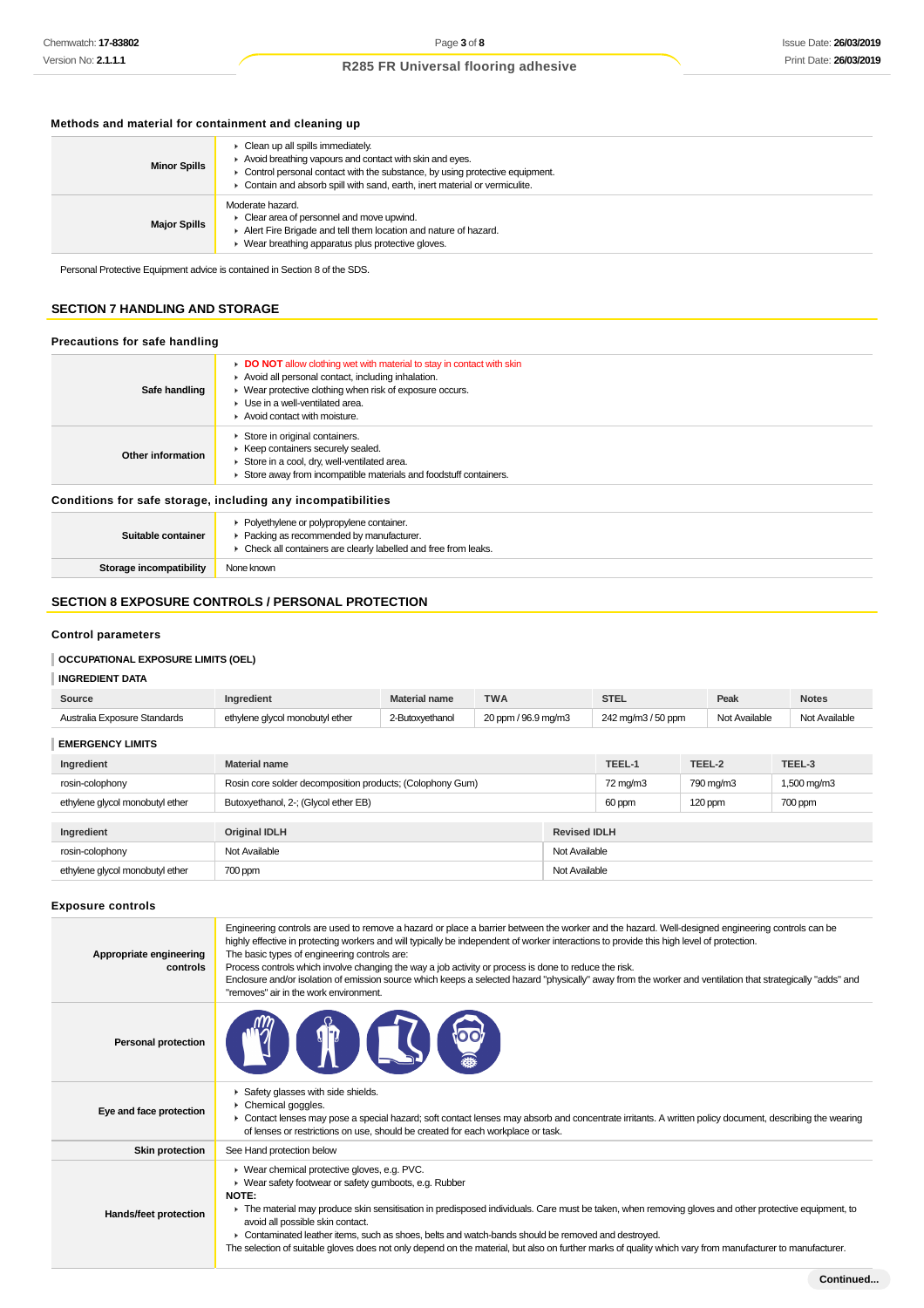### **Methods and material for containment and cleaning up**

| <b>Minor Spills</b> | • Clean up all spills immediately.<br>Avoid breathing vapours and contact with skin and eyes.<br>• Control personal contact with the substance, by using protective equipment.<br>• Contain and absorb spill with sand, earth, inert material or vermiculite. |
|---------------------|---------------------------------------------------------------------------------------------------------------------------------------------------------------------------------------------------------------------------------------------------------------|
| <b>Major Spills</b> | Moderate hazard.<br>$\triangleright$ Clear area of personnel and move upwind.<br>Alert Fire Brigade and tell them location and nature of hazard.<br>▶ Wear breathing apparatus plus protective gloves.                                                        |

Personal Protective Equipment advice is contained in Section 8 of the SDS.

### **SECTION 7 HANDLING AND STORAGE**

### **Precautions for safe handling**

| Safe handling     | DO NOT allow clothing wet with material to stay in contact with skin<br>Avoid all personal contact, including inhalation.<br>• Wear protective clothing when risk of exposure occurs.<br>• Use in a well-ventilated area.<br>Avoid contact with moisture. |
|-------------------|-----------------------------------------------------------------------------------------------------------------------------------------------------------------------------------------------------------------------------------------------------------|
| Other information | Store in original containers.<br>▶ Keep containers securely sealed.<br>Store in a cool, dry, well-ventilated area.<br>Store away from incompatible materials and foodstuff containers.                                                                    |

### **Conditions for safe storage, including any incompatibilities**

| Suitable container      | • Polyethylene or polypropylene container.<br>• Packing as recommended by manufacturer.<br>Check all containers are clearly labelled and free from leaks. |
|-------------------------|-----------------------------------------------------------------------------------------------------------------------------------------------------------|
| Storage incompatibility | None known                                                                                                                                                |

### **SECTION 8 EXPOSURE CONTROLS / PERSONAL PROTECTION**

### **Control parameters**

### **OCCUPATIONAL EXPOSURE LIMITS (OEL)**

### **INGREDIENT DATA**

| Source                          | Ingredient                                                | <b>Material name</b>                   | <b>TWA</b> |               | <b>STEL</b>         |                    | Peak    | <b>Notes</b>                   |  |
|---------------------------------|-----------------------------------------------------------|----------------------------------------|------------|---------------|---------------------|--------------------|---------|--------------------------------|--|
| Australia Exposure Standards    | ethylene glycol monobutyl ether                           | 20 ppm / 96.9 mg/m3<br>2-Butoxyethanol |            |               |                     | 242 mg/m3 / 50 ppm |         | Not Available<br>Not Available |  |
| <b>EMERGENCY LIMITS</b>         |                                                           |                                        |            |               |                     |                    |         |                                |  |
| Ingredient                      | <b>Material name</b>                                      |                                        |            |               | TEEL-1              | TEEL-2             |         | TEEL-3                         |  |
| rosin-colophony                 | Rosin core solder decomposition products; (Colophony Gum) | 72 mg/m3                               | 790 mg/m3  |               | 1,500 mg/m3         |                    |         |                                |  |
| ethylene glycol monobutyl ether | Butoxyethanol, 2-; (Glycol ether EB)                      |                                        |            | 60 ppm        | $120$ ppm           |                    | 700 ppm |                                |  |
|                                 |                                                           |                                        |            |               |                     |                    |         |                                |  |
| Ingredient                      | <b>Original IDLH</b>                                      |                                        |            |               | <b>Revised IDLH</b> |                    |         |                                |  |
| rosin-colophony                 | Not Available                                             |                                        |            | Not Available |                     |                    |         |                                |  |

ethylene glycol monobutyl ether 700 ppm Not Available and The Mot Available and The Mot Available and The Mot Available

### **Exposure controls**

| Appropriate engineering<br>controls | Engineering controls are used to remove a hazard or place a barrier between the worker and the hazard. Well-designed engineering controls can be<br>highly effective in protecting workers and will typically be independent of worker interactions to provide this high level of protection.<br>The basic types of engineering controls are:<br>Process controls which involve changing the way a job activity or process is done to reduce the risk.<br>Enclosure and/or isolation of emission source which keeps a selected hazard "physically" away from the worker and ventilation that strategically "adds" and<br>"removes" air in the work environment. |
|-------------------------------------|-----------------------------------------------------------------------------------------------------------------------------------------------------------------------------------------------------------------------------------------------------------------------------------------------------------------------------------------------------------------------------------------------------------------------------------------------------------------------------------------------------------------------------------------------------------------------------------------------------------------------------------------------------------------|
| <b>Personal protection</b>          |                                                                                                                                                                                                                                                                                                                                                                                                                                                                                                                                                                                                                                                                 |
| Eye and face protection             | Safety glasses with side shields.<br>Chemical goggles.<br>► Contact lenses may pose a special hazard; soft contact lenses may absorb and concentrate irritants. A written policy document, describing the wearing<br>of lenses or restrictions on use, should be created for each workplace or task.                                                                                                                                                                                                                                                                                                                                                            |
| <b>Skin protection</b>              | See Hand protection below                                                                                                                                                                                                                                                                                                                                                                                                                                                                                                                                                                                                                                       |
| Hands/feet protection               | ▶ Wear chemical protective gloves, e.g. PVC.<br>• Wear safety footwear or safety gumboots, e.g. Rubber<br><b>NOTE:</b><br>The material may produce skin sensitisation in predisposed individuals. Care must be taken, when removing gloves and other protective equipment, to<br>avoid all possible skin contact.<br>▶ Contaminated leather items, such as shoes, belts and watch-bands should be removed and destroyed.<br>The selection of suitable gloves does not only depend on the material, but also on further marks of quality which vary from manufacturer to manufacturer.                                                                           |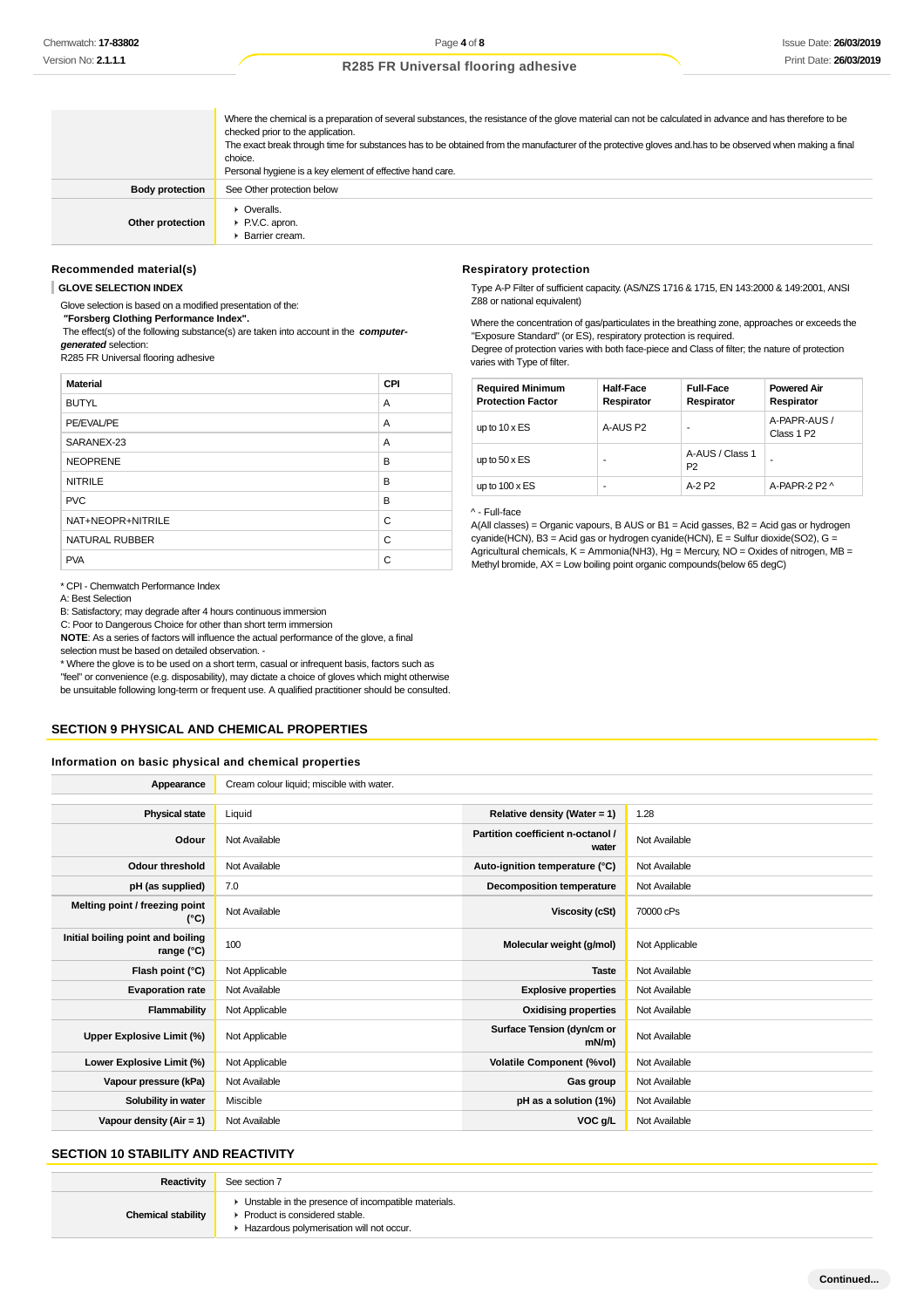Where the chemical is a preparation of several substances, the resistance of the glove material can not be calculated in advance and has therefore to be checked prior to the application. The exact break through time for substances has to be obtained from the manufacturer of the protective gloves and.has to be observed when making a final choice. Personal hygiene is a key element of effective hand care. **Body protection** See Other protection below **Other protection Coveralls.** ▶ P.V.C. apron. Barrier cream.

#### **Recommended material(s)**

#### **GLOVE SELECTION INDEX**

Glove selection is based on a modified presentation of the:

 **"Forsberg Clothing Performance Index".**

 The effect(s) of the following substance(s) are taken into account in the **computergenerated** selection:

R285 FR Universal flooring adhesive

| <b>Material</b>       | CPI |
|-----------------------|-----|
| <b>BUTYL</b>          | A   |
| PE/EVAL/PE            | A   |
| SARANEX-23            | A   |
| <b>NEOPRENE</b>       | B   |
| <b>NITRILE</b>        | B   |
| <b>PVC</b>            | B   |
| NAT+NEOPR+NITRILE     | C   |
| <b>NATURAL RUBBER</b> | C   |
| <b>PVA</b>            | C   |

\* CPI - Chemwatch Performance Index

A: Best Selection

B: Satisfactory; may degrade after 4 hours continuous immersion

C: Poor to Dangerous Choice for other than short term immersion

**NOTE**: As a series of factors will influence the actual performance of the glove, a final

selection must be based on detailed observation. -

\* Where the glove is to be used on a short term, casual or infrequent basis, factors such as "feel" or convenience (e.g. disposability), may dictate a choice of gloves which might otherwise be unsuitable following long-term or frequent use. A qualified practitioner should be consulted.

#### **SECTION 9 PHYSICAL AND CHEMICAL PROPERTIES**

#### **Information on basic physical and chemical properties**

| Appearance                                      | Cream colour liquid; miscible with water. |                                            |                |
|-------------------------------------------------|-------------------------------------------|--------------------------------------------|----------------|
|                                                 |                                           |                                            |                |
| <b>Physical state</b>                           | Liquid                                    | Relative density (Water = $1$ )            | 1.28           |
| Odour                                           | Not Available                             | Partition coefficient n-octanol /<br>water | Not Available  |
| <b>Odour threshold</b>                          | Not Available                             | Auto-ignition temperature (°C)             | Not Available  |
| pH (as supplied)                                | 7.0                                       | <b>Decomposition temperature</b>           | Not Available  |
| Melting point / freezing point<br>(°C)          | Not Available                             | Viscosity (cSt)                            | 70000 cPs      |
| Initial boiling point and boiling<br>range (°C) | 100                                       | Molecular weight (g/mol)                   | Not Applicable |
| Flash point (°C)                                | Not Applicable                            | <b>Taste</b>                               | Not Available  |
| <b>Evaporation rate</b>                         | Not Available                             | <b>Explosive properties</b>                | Not Available  |
| Flammability                                    | Not Applicable                            | <b>Oxidising properties</b>                | Not Available  |
| Upper Explosive Limit (%)                       | Not Applicable                            | Surface Tension (dyn/cm or<br>mN/m)        | Not Available  |
| Lower Explosive Limit (%)                       | Not Applicable                            | <b>Volatile Component (%vol)</b>           | Not Available  |
| Vapour pressure (kPa)                           | Not Available                             | Gas group                                  | Not Available  |
| Solubility in water                             | Miscible                                  | pH as a solution (1%)                      | Not Available  |
| Vapour density $(Air = 1)$                      | Not Available                             | VOC g/L                                    | Not Available  |

### **SECTION 10 STABILITY AND REACTIVITY**

| Reactivity                | See section 7                                                                                                                        |
|---------------------------|--------------------------------------------------------------------------------------------------------------------------------------|
| <b>Chemical stability</b> | • Unstable in the presence of incompatible materials.<br>▶ Product is considered stable.<br>Hazardous polymerisation will not occur. |

#### **Respiratory protection**

Type A-P Filter of sufficient capacity. (AS/NZS 1716 & 1715, EN 143:2000 & 149:2001, ANSI Z88 or national equivalent)

Where the concentration of gas/particulates in the breathing zone, approaches or exceeds the "Exposure Standard" (or ES), respiratory protection is required. Degree of protection varies with both face-piece and Class of filter; the nature of protection varies with Type of filter.

| <b>Required Minimum</b><br><b>Protection Factor</b> | <b>Half-Face</b><br>Respirator | <b>Full-Face</b><br>Respirator    | <b>Powered Air</b><br>Respirator       |
|-----------------------------------------------------|--------------------------------|-----------------------------------|----------------------------------------|
| up to $10 \times ES$                                | A-AUS P2                       |                                   | A-PAPR-AUS /<br>Class 1 P <sub>2</sub> |
| up to $50 \times ES$                                | ۰                              | A-AUS / Class 1<br>P <sub>2</sub> | ۰                                      |
| up to $100 \times ES$                               | ۰                              | $A-2P2$                           | A-PAPR-2 P2 ^                          |

#### ^ - Full-face

A(All classes) = Organic vapours, B AUS or B1 = Acid gasses, B2 = Acid gas or hydrogen cyanide(HCN), B3 = Acid gas or hydrogen cyanide(HCN), E = Sulfur dioxide(SO2), G = Agricultural chemicals, K = Ammonia(NH3), Hg = Mercury, NO = Oxides of nitrogen, MB = Methyl bromide, AX = Low boiling point organic compounds(below 65 degC)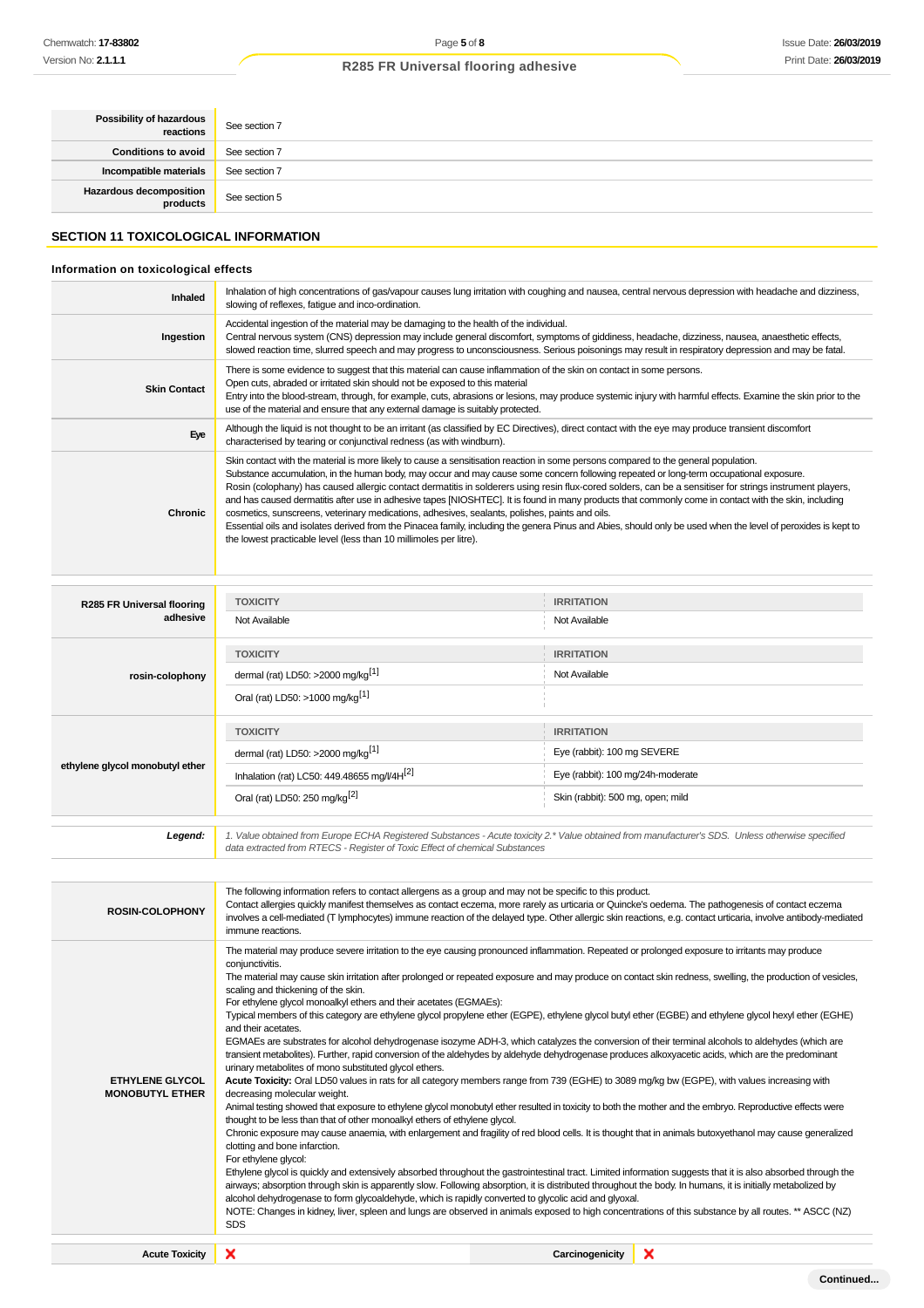| <b>Possibility of hazardous</b> See section 7 |               |
|-----------------------------------------------|---------------|
| Conditions to avoid                           | See section 7 |
| Incompatible materials                        | See section 7 |
| Hazardous decomposition<br>products           | See section 5 |

### **SECTION 11 TOXICOLOGICAL INFORMATION**

### **Information on toxicological effects**

| Inhaled             | Inhalation of high concentrations of gas/vapour causes lung irritation with coughing and nausea, central nervous depression with headache and dizziness,<br>slowing of reflexes, fatigue and inco-ordination.                                                                                                                                                                                                                                                                                                                                                                                                                                                                                                                                                                                                                                                                                                                               |
|---------------------|---------------------------------------------------------------------------------------------------------------------------------------------------------------------------------------------------------------------------------------------------------------------------------------------------------------------------------------------------------------------------------------------------------------------------------------------------------------------------------------------------------------------------------------------------------------------------------------------------------------------------------------------------------------------------------------------------------------------------------------------------------------------------------------------------------------------------------------------------------------------------------------------------------------------------------------------|
| Ingestion           | Accidental ingestion of the material may be damaging to the health of the individual.<br>Central nervous system (CNS) depression may include general discomfort, symptoms of giddiness, headache, dizziness, nausea, anaesthetic effects,<br>slowed reaction time, slurred speech and may progress to unconsciousness. Serious poisonings may result in respiratory depression and may be fatal.                                                                                                                                                                                                                                                                                                                                                                                                                                                                                                                                            |
| <b>Skin Contact</b> | There is some evidence to suggest that this material can cause inflammation of the skin on contact in some persons.<br>Open cuts, abraded or irritated skin should not be exposed to this material<br>Entry into the blood-stream, through, for example, cuts, abrasions or lesions, may produce systemic injury with harmful effects. Examine the skin prior to the<br>use of the material and ensure that any external damage is suitably protected.                                                                                                                                                                                                                                                                                                                                                                                                                                                                                      |
| Eye                 | Although the liquid is not thought to be an irritant (as classified by EC Directives), direct contact with the eye may produce transient discomfort<br>characterised by tearing or conjunctival redness (as with windburn).                                                                                                                                                                                                                                                                                                                                                                                                                                                                                                                                                                                                                                                                                                                 |
| Chronic             | Skin contact with the material is more likely to cause a sensitisation reaction in some persons compared to the general population.<br>Substance accumulation, in the human body, may occur and may cause some concern following repeated or long-term occupational exposure.<br>Rosin (colophany) has caused allergic contact dermatitis in solderers using resin flux-cored solders, can be a sensitiser for strings instrument players,<br>and has caused dermatitis after use in adhesive tapes [NIOSHTEC]. It is found in many products that commonly come in contact with the skin, including<br>cosmetics, sunscreens, veterinary medications, adhesives, sealants, polishes, paints and oils.<br>Essential oils and isolates derived from the Pinacea family, including the genera Pinus and Abies, should only be used when the level of peroxides is kept to<br>the lowest practicable level (less than 10 millimoles per litre). |

| <b>R285 FR Universal flooring</b> | <b>TOXICITY</b>                                                             | <b>IRRITATION</b>                                                                                                                                |
|-----------------------------------|-----------------------------------------------------------------------------|--------------------------------------------------------------------------------------------------------------------------------------------------|
| adhesive                          | Not Available                                                               | Not Available                                                                                                                                    |
|                                   | <b>TOXICITY</b>                                                             | <b>IRRITATION</b>                                                                                                                                |
| rosin-colophony                   | dermal (rat) LD50: >2000 mg/kg <sup>[1]</sup>                               | Not Available                                                                                                                                    |
|                                   | Oral (rat) LD50: >1000 mg/kg <sup>[1]</sup>                                 |                                                                                                                                                  |
| ethylene glycol monobutyl ether   | <b>TOXICITY</b>                                                             | <b>IRRITATION</b>                                                                                                                                |
|                                   | dermal (rat) LD50: >2000 mg/kg <sup>[1]</sup>                               | Eye (rabbit): 100 mg SEVERE                                                                                                                      |
|                                   | Inhalation (rat) LC50: 449.48655 mg/l/4H <sup>[2]</sup>                     | Eye (rabbit): 100 mg/24h-moderate                                                                                                                |
|                                   | Oral (rat) LD50: 250 mg/kg <sup>[2]</sup>                                   | Skin (rabbit): 500 mg, open; mild                                                                                                                |
| Legend:                           | data extracted from RTECS - Register of Toxic Effect of chemical Substances | 1. Value obtained from Europe ECHA Registered Substances - Acute toxicity 2.* Value obtained from manufacturer's SDS. Unless otherwise specified |

| <b>Acute Toxicity</b>                            | ×                                                                                                                                                                                                                                                                                                                                                                                                                                                                                                                                                                                                                                                                                                                                                                                                                                                                                                                                                                                                                                                                                                                                                                                                                                                                                                                                                                                                                                                                                                                                                                                                                                                                                                                                                                                                                                                                                                                                                                                                                                                                                                             | Carcinogenicity | × |
|--------------------------------------------------|---------------------------------------------------------------------------------------------------------------------------------------------------------------------------------------------------------------------------------------------------------------------------------------------------------------------------------------------------------------------------------------------------------------------------------------------------------------------------------------------------------------------------------------------------------------------------------------------------------------------------------------------------------------------------------------------------------------------------------------------------------------------------------------------------------------------------------------------------------------------------------------------------------------------------------------------------------------------------------------------------------------------------------------------------------------------------------------------------------------------------------------------------------------------------------------------------------------------------------------------------------------------------------------------------------------------------------------------------------------------------------------------------------------------------------------------------------------------------------------------------------------------------------------------------------------------------------------------------------------------------------------------------------------------------------------------------------------------------------------------------------------------------------------------------------------------------------------------------------------------------------------------------------------------------------------------------------------------------------------------------------------------------------------------------------------------------------------------------------------|-----------------|---|
| <b>ETHYLENE GLYCOL</b><br><b>MONOBUTYL ETHER</b> | conjunctivitis.<br>The material may cause skin irritation after prolonged or repeated exposure and may produce on contact skin redness, swelling, the production of vesicles,<br>scaling and thickening of the skin.<br>For ethylene glycol monoalkyl ethers and their acetates (EGMAEs):<br>Typical members of this category are ethylene glycol propylene ether (EGPE), ethylene glycol butyl ether (EGBE) and ethylene glycol hexyl ether (EGHE)<br>and their acetates.<br>EGMAEs are substrates for alcohol dehydrogenase isozyme ADH-3, which catalyzes the conversion of their terminal alcohols to aldehydes (which are<br>transient metabolites). Further, rapid conversion of the aldehydes by aldehyde dehydrogenase produces alkoxyacetic acids, which are the predominant<br>urinary metabolites of mono substituted glycol ethers.<br>Acute Toxicity: Oral LD50 values in rats for all category members range from 739 (EGHE) to 3089 mg/kg bw (EGPE), with values increasing with<br>decreasing molecular weight.<br>Animal testing showed that exposure to ethylene glycol monobutyl ether resulted in toxicity to both the mother and the embryo. Reproductive effects were<br>thought to be less than that of other monoalkyl ethers of ethylene glycol.<br>Chronic exposure may cause anaemia, with enlargement and fragility of red blood cells. It is thought that in animals butoxyethanol may cause generalized<br>clotting and bone infarction.<br>For ethylene glycol:<br>Ethylene glycol is quickly and extensively absorbed throughout the gastrointestinal tract. Limited information suggests that it is also absorbed through the<br>airways; absorption through skin is apparently slow. Following absorption, it is distributed throughout the body. In humans, it is initially metabolized by<br>alcohol dehydrogenase to form glycoaldehyde, which is rapidly converted to glycolic acid and glyoxal.<br>NOTE: Changes in kidney, liver, spleen and lungs are observed in animals exposed to high concentrations of this substance by all routes. ** ASCC (NZ)<br><b>SDS</b> |                 |   |
|                                                  | immune reactions.<br>The material may produce severe irritation to the eye causing pronounced inflammation. Repeated or prolonged exposure to irritants may produce                                                                                                                                                                                                                                                                                                                                                                                                                                                                                                                                                                                                                                                                                                                                                                                                                                                                                                                                                                                                                                                                                                                                                                                                                                                                                                                                                                                                                                                                                                                                                                                                                                                                                                                                                                                                                                                                                                                                           |                 |   |
| <b>ROSIN-COLOPHONY</b>                           | The following information refers to contact allergens as a group and may not be specific to this product.<br>Contact allergies quickly manifest themselves as contact eczema, more rarely as urticaria or Quincke's oedema. The pathogenesis of contact eczema<br>involves a cell-mediated (T lymphocytes) immune reaction of the delayed type. Other allergic skin reactions, e.g. contact urticaria, involve antibody-mediated                                                                                                                                                                                                                                                                                                                                                                                                                                                                                                                                                                                                                                                                                                                                                                                                                                                                                                                                                                                                                                                                                                                                                                                                                                                                                                                                                                                                                                                                                                                                                                                                                                                                              |                 |   |
|                                                  |                                                                                                                                                                                                                                                                                                                                                                                                                                                                                                                                                                                                                                                                                                                                                                                                                                                                                                                                                                                                                                                                                                                                                                                                                                                                                                                                                                                                                                                                                                                                                                                                                                                                                                                                                                                                                                                                                                                                                                                                                                                                                                               |                 |   |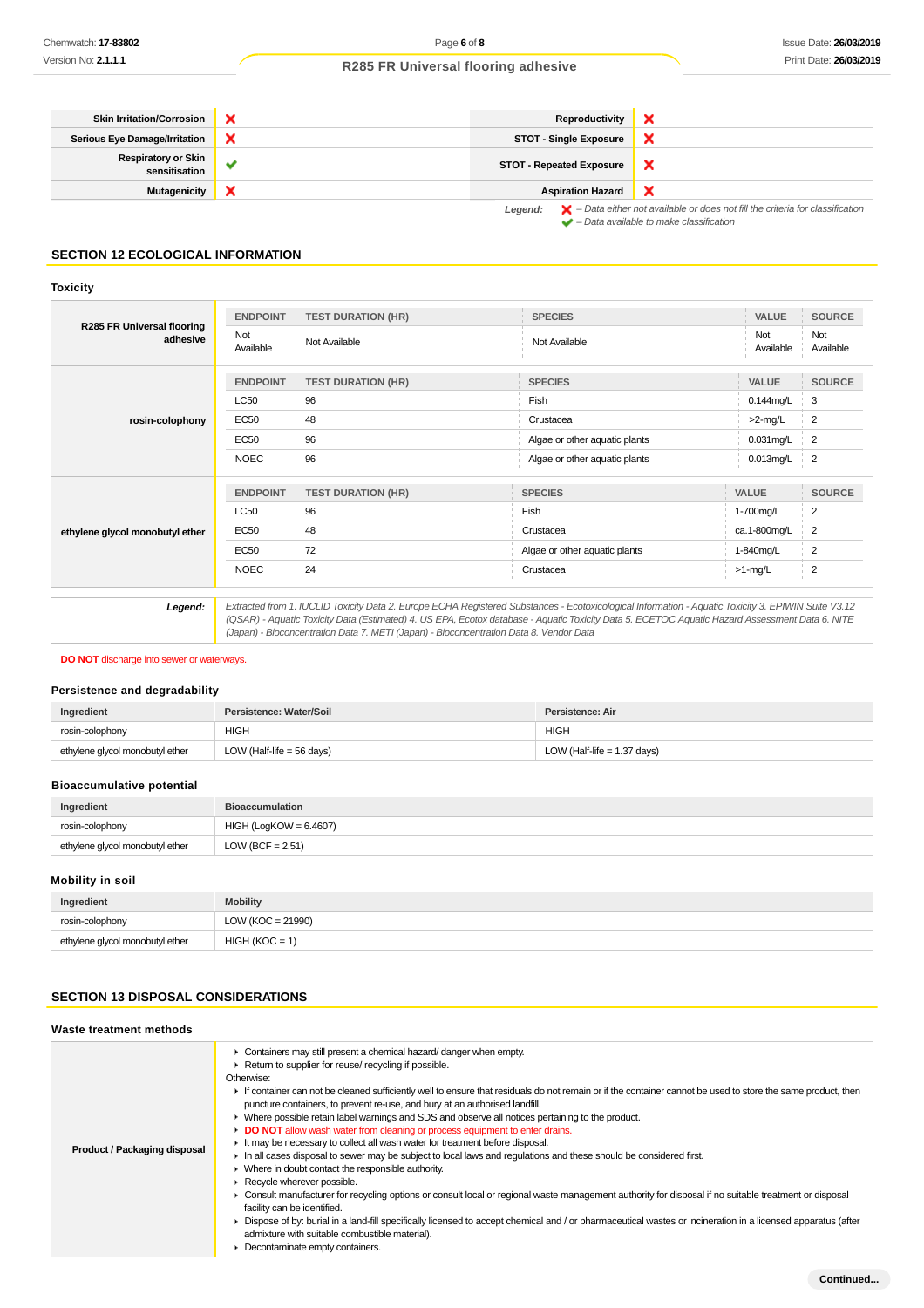| <b>Skin Irritation/Corrosion</b>            |   | Reproductivity                  |                                                                                                    |
|---------------------------------------------|---|---------------------------------|----------------------------------------------------------------------------------------------------|
| <b>Serious Eye Damage/Irritation</b>        |   | <b>STOT - Single Exposure</b>   |                                                                                                    |
| <b>Respiratory or Skin</b><br>sensitisation | w | <b>STOT - Repeated Exposure</b> | ×                                                                                                  |
| Mutagenicity                                | × | <b>Aspiration Hazard</b>        | ×                                                                                                  |
|                                             |   | egend :                         | $\blacktriangleright$ - Data either not available or does not fill the criteria for classification |

**Legend:** – Data either not available or does not fill the criteria for classification – Data available to make classification

### **SECTION 12 ECOLOGICAL INFORMATION**

#### **Toxicity**

| <b>R285 FR Universal flooring</b><br>adhesive                                                                                                                                                                                                                                                                                                                                                              | <b>ENDPOINT</b><br>Not | <b>TEST DURATION (HR)</b><br>Not Available | <b>SPECIES</b><br>Not Available | VALUE<br>Not | <b>SOURCE</b><br>Not |
|------------------------------------------------------------------------------------------------------------------------------------------------------------------------------------------------------------------------------------------------------------------------------------------------------------------------------------------------------------------------------------------------------------|------------------------|--------------------------------------------|---------------------------------|--------------|----------------------|
|                                                                                                                                                                                                                                                                                                                                                                                                            | Available              |                                            |                                 | Available    | Available            |
|                                                                                                                                                                                                                                                                                                                                                                                                            | <b>ENDPOINT</b>        | <b>TEST DURATION (HR)</b>                  | <b>SPECIES</b>                  | VALUE        | <b>SOURCE</b>        |
|                                                                                                                                                                                                                                                                                                                                                                                                            | <b>LC50</b>            | 96                                         | Fish                            | $0.144$ mg/L | 3                    |
| rosin-colophony                                                                                                                                                                                                                                                                                                                                                                                            | <b>EC50</b>            | 48                                         | Crustacea                       | >2-mg/L      | 2                    |
|                                                                                                                                                                                                                                                                                                                                                                                                            | <b>EC50</b>            | 96                                         | Algae or other aquatic plants   | $0.031$ mg/L | 2                    |
|                                                                                                                                                                                                                                                                                                                                                                                                            | <b>NOEC</b>            | 96                                         | Algae or other aquatic plants   | 0.013mg/L    | $\frac{1}{2}$        |
|                                                                                                                                                                                                                                                                                                                                                                                                            | <b>ENDPOINT</b>        | <b>TEST DURATION (HR)</b>                  | <b>SPECIES</b>                  | <b>VALUE</b> | <b>SOURCE</b>        |
|                                                                                                                                                                                                                                                                                                                                                                                                            | <b>LC50</b>            | 96                                         | Fish                            | 1-700mg/L    | 2                    |
| ethylene glycol monobutyl ether                                                                                                                                                                                                                                                                                                                                                                            | EC50                   | 48                                         | Crustacea                       | ca.1-800mg/L | 2                    |
|                                                                                                                                                                                                                                                                                                                                                                                                            | EC50                   | 72                                         | Algae or other aquatic plants   | 1-840mg/L    | 2                    |
|                                                                                                                                                                                                                                                                                                                                                                                                            | <b>NOEC</b>            | 24                                         | Crustacea                       | $>1$ -mg/L   | 2                    |
| Extracted from 1. IUCLID Toxicity Data 2. Europe ECHA Registered Substances - Ecotoxicological Information - Aquatic Toxicity 3. EPIWIN Suite V3.12<br>Legend:<br>(QSAR) - Aquatic Toxicity Data (Estimated) 4. US EPA, Ecotox database - Aquatic Toxicity Data 5. ECETOC Aquatic Hazard Assessment Data 6. NITE<br>(Japan) - Bioconcentration Data 7. METI (Japan) - Bioconcentration Data 8. Vendor Data |                        |                                            |                                 |              |                      |

**DO NOT** discharge into sewer or waterways.

### **Persistence and degradability**

| Ingredient                      | Persistence: Water/Soil     | Persistence: Air              |
|---------------------------------|-----------------------------|-------------------------------|
| rosin-colophony                 | <b>HIGH</b>                 | <b>HIGH</b>                   |
| ethylene glycol monobutyl ether | LOW (Half-life = $56$ days) | LOW (Half-life $= 1.37$ days) |

### **Bioaccumulative potential**

| Ingredient                      | <b>Bioaccumulation</b>   |
|---------------------------------|--------------------------|
| rosin-colophony                 | $HIGH (LogKOW = 6.4607)$ |
| ethylene glycol monobutyl ether | LOW (BCF = $2.51$ )      |

### **Mobility in soil**

| Ingredient                      | <b>Mobility</b>       |
|---------------------------------|-----------------------|
| rosin-colophony                 | LOW ( $KOC = 21990$ ) |
| ethylene glycol monobutyl ether | $HIGH (KOC = 1)$      |

### **SECTION 13 DISPOSAL CONSIDERATIONS**

# **Waste treatment methods**

| Product / Packaging disposal | Containers may still present a chemical hazard/ danger when empty.                                                                                          |
|------------------------------|-------------------------------------------------------------------------------------------------------------------------------------------------------------|
|                              | Return to supplier for reuse/ recycling if possible.                                                                                                        |
|                              | Otherwise:                                                                                                                                                  |
|                              | If container can not be cleaned sufficiently well to ensure that residuals do not remain or if the container cannot be used to store the same product, then |
|                              | puncture containers, to prevent re-use, and bury at an authorised landfill.                                                                                 |
|                              | • Where possible retain label warnings and SDS and observe all notices pertaining to the product.                                                           |
|                              | DO NOT allow wash water from cleaning or process equipment to enter drains.                                                                                 |
|                              | It may be necessary to collect all wash water for treatment before disposal.                                                                                |
|                              | In all cases disposal to sewer may be subject to local laws and regulations and these should be considered first.                                           |
|                              | $\triangleright$ Where in doubt contact the responsible authority.                                                                                          |
|                              | Recycle wherever possible.                                                                                                                                  |
|                              | ► Consult manufacturer for recycling options or consult local or regional waste management authority for disposal if no suitable treatment or disposal      |
|                              | facility can be identified.                                                                                                                                 |
|                              | Dispose of by: burial in a land-fill specifically licensed to accept chemical and / or pharmaceutical wastes or incineration in a licensed apparatus (after |
|                              | admixture with suitable combustible material).                                                                                                              |
|                              | Decontaminate empty containers.                                                                                                                             |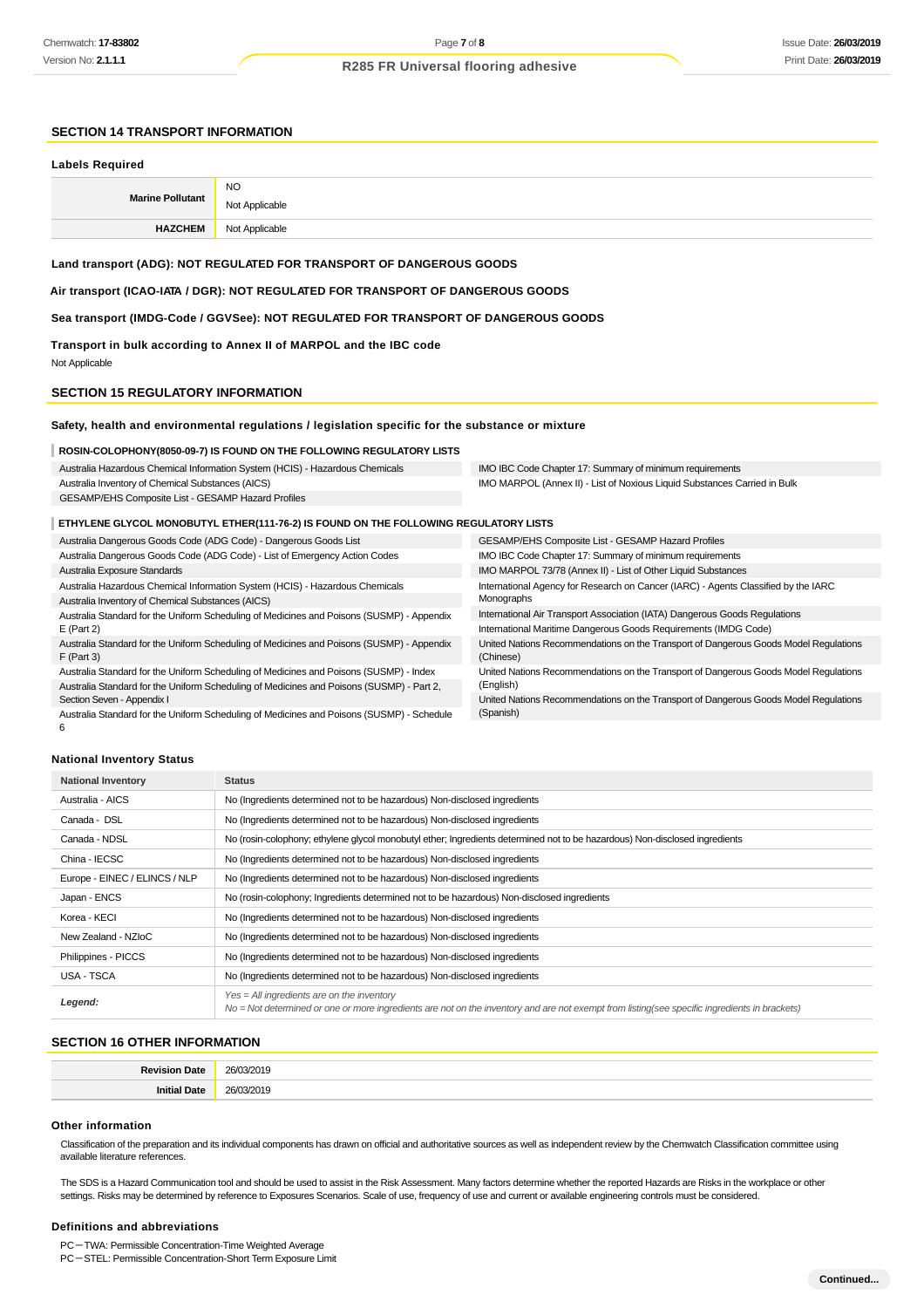### **SECTION 14 TRANSPORT INFORMATION**

#### **Labels Required**

| <b>Marine Pollutant</b> | <b>NO</b><br>Not Applicable |
|-------------------------|-----------------------------|
| <b>HAZCHEM</b>          | Not Applicable              |

### **Land transport (ADG): NOT REGULATED FOR TRANSPORT OF DANGEROUS GOODS**

**Air transport (ICAO-IATA / DGR): NOT REGULATED FOR TRANSPORT OF DANGEROUS GOODS**

#### **Sea transport (IMDG-Code / GGVSee): NOT REGULATED FOR TRANSPORT OF DANGEROUS GOODS**

**Transport in bulk according to Annex II of MARPOL and the IBC code** Not Applicable

#### **SECTION 15 REGULATORY INFORMATION**

#### **Safety, health and environmental regulations / legislation specific for the substance or mixture**

#### **ROSIN-COLOPHONY(8050-09-7) IS FOUND ON THE FOLLOWING REGULATORY LISTS**

| Australia Hazardous Chemical Information System (HCIS) - Hazardous Chemicals | IMO IBC Code Chapter 17: Summary of minimum requirements                  |
|------------------------------------------------------------------------------|---------------------------------------------------------------------------|
| Australia Inventory of Chemical Substances (AICS)                            | IMO MARPOL (Annex II) - List of Noxious Liquid Substances Carried in Bulk |
| GESAMP/EHS Composite List - GESAMP Hazard Profiles                           |                                                                           |
|                                                                              |                                                                           |

### **ETHYLENE GLYCOL MONOBUTYL ETHER(111-76-2) IS FOUND ON THE FOLLOWING REGULATORY LISTS**

| Australia Dangerous Goods Code (ADG Code) - Dangerous Goods List                          | <b>GESAMP/EHS Composite List - GESAMP Hazard Profiles</b>                            |
|-------------------------------------------------------------------------------------------|--------------------------------------------------------------------------------------|
| Australia Dangerous Goods Code (ADG Code) - List of Emergency Action Codes                | IMO IBC Code Chapter 17: Summary of minimum requirements                             |
| Australia Exposure Standards                                                              | IMO MARPOL 73/78 (Annex II) - List of Other Liquid Substances                        |
| Australia Hazardous Chemical Information System (HCIS) - Hazardous Chemicals              | International Agency for Research on Cancer (IARC) - Agents Classified by the IARC   |
| Australia Inventory of Chemical Substances (AICS)                                         | Monographs                                                                           |
| Australia Standard for the Uniform Scheduling of Medicines and Poisons (SUSMP) - Appendix | International Air Transport Association (IATA) Dangerous Goods Regulations           |
| $E$ (Part 2)                                                                              | International Maritime Dangerous Goods Requirements (IMDG Code)                      |
| Australia Standard for the Uniform Scheduling of Medicines and Poisons (SUSMP) - Appendix | United Nations Recommendations on the Transport of Dangerous Goods Model Regulations |
| $F$ (Part 3)                                                                              | (Chinese)                                                                            |
| Australia Standard for the Uniform Scheduling of Medicines and Poisons (SUSMP) - Index    | United Nations Recommendations on the Transport of Dangerous Goods Model Regulations |
| Australia Standard for the Uniform Scheduling of Medicines and Poisons (SUSMP) - Part 2,  | (English)                                                                            |
| Section Seven - Appendix I                                                                | United Nations Recommendations on the Transport of Dangerous Goods Model Regulations |
| Australia Standard for the Uniform Scheduling of Medicines and Poisons (SUSMP) - Schedule | (Spanish)                                                                            |
| b                                                                                         |                                                                                      |

### **National Inventory Status**

| <b>National Inventory</b>     | <b>Status</b>                                                                                                                                                                                 |
|-------------------------------|-----------------------------------------------------------------------------------------------------------------------------------------------------------------------------------------------|
| Australia - AICS              | No (Ingredients determined not to be hazardous) Non-disclosed ingredients                                                                                                                     |
| Canada - DSL                  | No (Ingredients determined not to be hazardous) Non-disclosed ingredients                                                                                                                     |
| Canada - NDSL                 | No (rosin-colophony; ethylene glycol monobutyl ether; Ingredients determined not to be hazardous) Non-disclosed ingredients                                                                   |
| China - IECSC                 | No (Ingredients determined not to be hazardous) Non-disclosed ingredients                                                                                                                     |
| Europe - EINEC / ELINCS / NLP | No (Ingredients determined not to be hazardous) Non-disclosed ingredients                                                                                                                     |
| Japan - ENCS                  | No (rosin-colophony; Ingredients determined not to be hazardous) Non-disclosed ingredients                                                                                                    |
| Korea - KECI                  | No (Ingredients determined not to be hazardous) Non-disclosed ingredients                                                                                                                     |
| New Zealand - NZIoC           | No (Ingredients determined not to be hazardous) Non-disclosed ingredients                                                                                                                     |
| Philippines - PICCS           | No (Ingredients determined not to be hazardous) Non-disclosed ingredients                                                                                                                     |
| USA - TSCA                    | No (Ingredients determined not to be hazardous) Non-disclosed ingredients                                                                                                                     |
| Legend:                       | $Yes = All ingredients are on the inventory$<br>No = Not determined or one or more ingredients are not on the inventory and are not exempt from listing(see specific ingredients in brackets) |

### **SECTION 16 OTHER INFORMATION**

| <b>Date</b><br>Povicion | 26/<br>1.17<br>2019 |
|-------------------------|---------------------|
| niti<br>Date            | ה2<br>1 4<br>       |

#### **Other information**

Classification of the preparation and its individual components has drawn on official and authoritative sources as well as independent review by the Chemwatch Classification committee using available literature references.

The SDS is a Hazard Communication tool and should be used to assist in the Risk Assessment. Many factors determine whether the reported Hazards are Risks in the workplace or other settings. Risks may be determined by reference to Exposures Scenarios. Scale of use, frequency of use and current or available engineering controls must be considered.

#### **Definitions and abbreviations**

PC-TWA: Permissible Concentration-Time Weighted Average

PC-STEL: Permissible Concentration-Short Term Exposure Limit